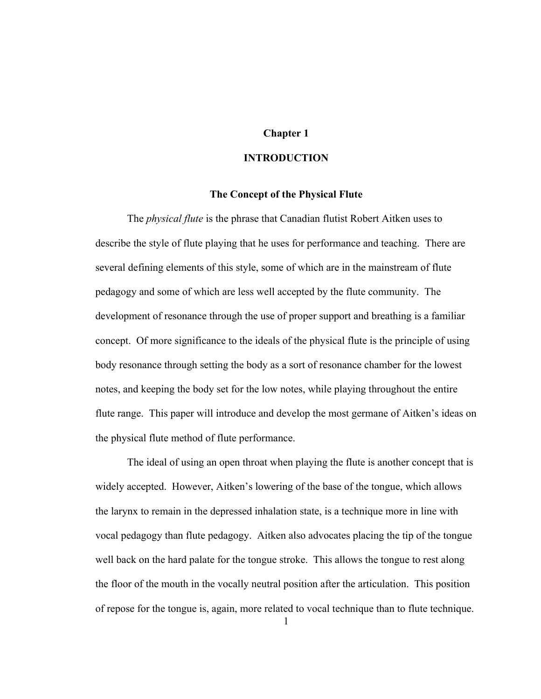# **Chapter 1**

# **INTRODUCTION**

### **The Concept of the Physical Flute**

The *physical flute* is the phrase that Canadian flutist Robert Aitken uses to describe the style of flute playing that he uses for performance and teaching. There are several defining elements of this style, some of which are in the mainstream of flute pedagogy and some of which are less well accepted by the flute community. The development of resonance through the use of proper support and breathing is a familiar concept. Of more significance to the ideals of the physical flute is the principle of using body resonance through setting the body as a sort of resonance chamber for the lowest notes, and keeping the body set for the low notes, while playing throughout the entire flute range. This paper will introduce and develop the most germane of Aitken's ideas on the physical flute method of flute performance.

The ideal of using an open throat when playing the flute is another concept that is widely accepted. However, Aitken's lowering of the base of the tongue, which allows the larynx to remain in the depressed inhalation state, is a technique more in line with vocal pedagogy than flute pedagogy. Aitken also advocates placing the tip of the tongue well back on the hard palate for the tongue stroke. This allows the tongue to rest along the floor of the mouth in the vocally neutral position after the articulation. This position of repose for the tongue is, again, more related to vocal technique than to flute technique.

1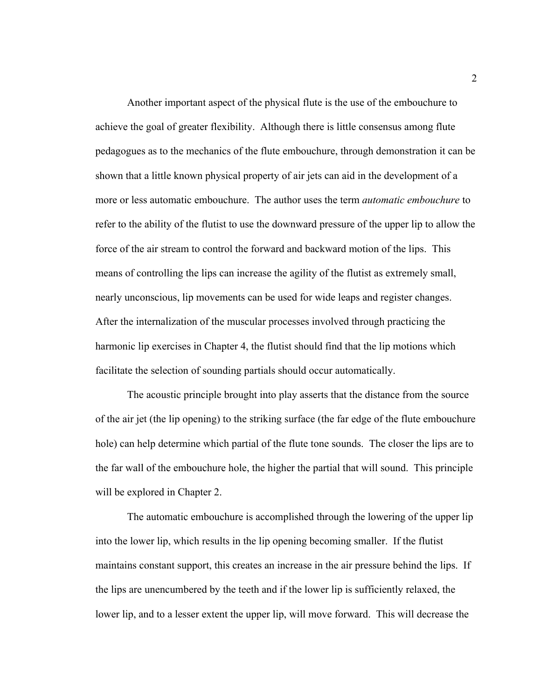Another important aspect of the physical flute is the use of the embouchure to achieve the goal of greater flexibility. Although there is little consensus among flute pedagogues as to the mechanics of the flute embouchure, through demonstration it can be shown that a little known physical property of air jets can aid in the development of a more or less automatic embouchure. The author uses the term *automatic embouchure* to refer to the ability of the flutist to use the downward pressure of the upper lip to allow the force of the air stream to control the forward and backward motion of the lips. This means of controlling the lips can increase the agility of the flutist as extremely small, nearly unconscious, lip movements can be used for wide leaps and register changes. After the internalization of the muscular processes involved through practicing the harmonic lip exercises in Chapter 4, the flutist should find that the lip motions which facilitate the selection of sounding partials should occur automatically.

The acoustic principle brought into play asserts that the distance from the source of the air jet (the lip opening) to the striking surface (the far edge of the flute embouchure hole) can help determine which partial of the flute tone sounds. The closer the lips are to the far wall of the embouchure hole, the higher the partial that will sound. This principle will be explored in Chapter 2.

The automatic embouchure is accomplished through the lowering of the upper lip into the lower lip, which results in the lip opening becoming smaller. If the flutist maintains constant support, this creates an increase in the air pressure behind the lips. If the lips are unencumbered by the teeth and if the lower lip is sufficiently relaxed, the lower lip, and to a lesser extent the upper lip, will move forward. This will decrease the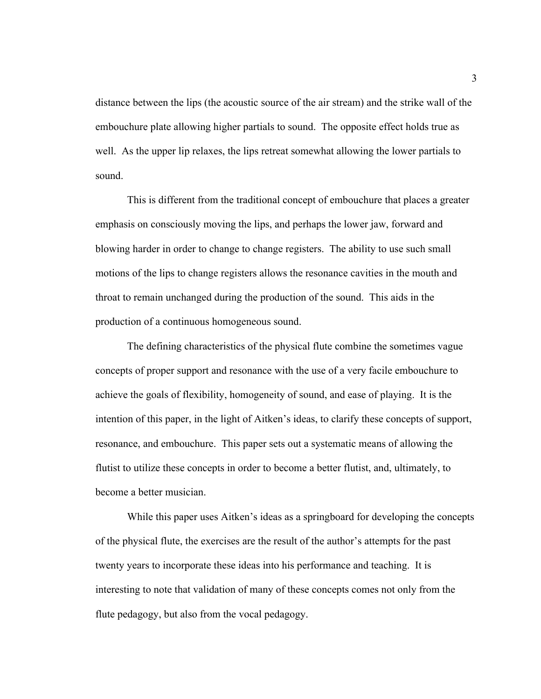distance between the lips (the acoustic source of the air stream) and the strike wall of the embouchure plate allowing higher partials to sound. The opposite effect holds true as well. As the upper lip relaxes, the lips retreat somewhat allowing the lower partials to sound.

This is different from the traditional concept of embouchure that places a greater emphasis on consciously moving the lips, and perhaps the lower jaw, forward and blowing harder in order to change to change registers. The ability to use such small motions of the lips to change registers allows the resonance cavities in the mouth and throat to remain unchanged during the production of the sound. This aids in the production of a continuous homogeneous sound.

The defining characteristics of the physical flute combine the sometimes vague concepts of proper support and resonance with the use of a very facile embouchure to achieve the goals of flexibility, homogeneity of sound, and ease of playing. It is the intention of this paper, in the light of Aitken's ideas, to clarify these concepts of support, resonance, and embouchure. This paper sets out a systematic means of allowing the flutist to utilize these concepts in order to become a better flutist, and, ultimately, to become a better musician.

While this paper uses Aitken's ideas as a springboard for developing the concepts of the physical flute, the exercises are the result of the author's attempts for the past twenty years to incorporate these ideas into his performance and teaching. It is interesting to note that validation of many of these concepts comes not only from the flute pedagogy, but also from the vocal pedagogy.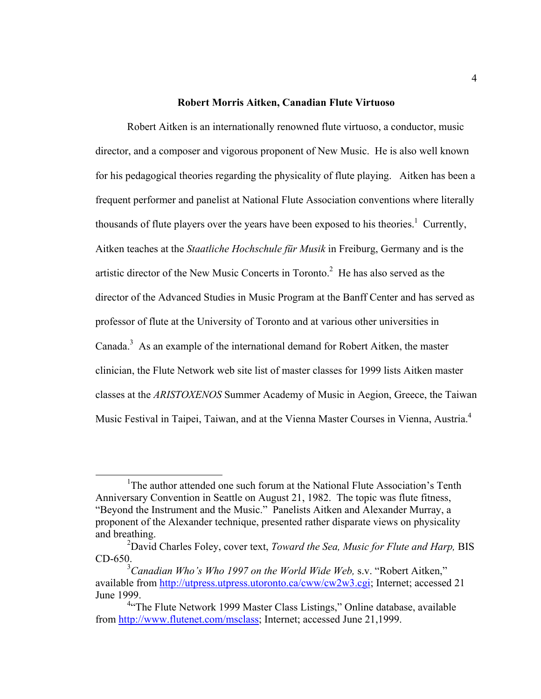# **Robert Morris Aitken, Canadian Flute Virtuoso**

Robert Aitken is an internationally renowned flute virtuoso, a conductor, music director, and a composer and vigorous proponent of New Music. He is also well known for his pedagogical theories regarding the physicality of flute playing. Aitken has been a frequent performer and panelist at National Flute Association conventions where literally thousands of flute players over the years have been exposed to his theories.<sup>1</sup> Currently, Aitken teaches at the *Staatliche Hochschule für Musik* in Freiburg, Germany and is the artistic director of the New Music Concerts in Toronto.<sup>2</sup> He has also served as the director of the Advanced Studies in Music Program at the Banff Center and has served as professor of flute at the University of Toronto and at various other universities in Canada.<sup>3</sup> As an example of the international demand for Robert Aitken, the master clinician, the Flute Network web site list of master classes for 1999 lists Aitken master classes at the *ARISTOXENOS* Summer Academy of Music in Aegion, Greece, the Taiwan Music Festival in Taipei, Taiwan, and at the Vienna Master Courses in Vienna, Austria.4

<sup>&</sup>lt;sup>1</sup>The author attended one such forum at the National Flute Association's Tenth Anniversary Convention in Seattle on August 21, 1982. The topic was flute fitness, "Beyond the Instrument and the Music." Panelists Aitken and Alexander Murray, a proponent of the Alexander technique, presented rather disparate views on physicality and breathing.

<sup>2</sup> David Charles Foley, cover text, *Toward the Sea, Music for Flute and Harp,* BIS CD-650.

<sup>3</sup> *Canadian Who's Who 1997 on the World Wide Web,* s.v. "Robert Aitken," available from http://utpress.utpress.utoronto.ca/cww/cw2w3.cgi; Internet; accessed 21 June 1999.

<sup>&</sup>lt;sup>4</sup> The Flute Network 1999 Master Class Listings," Online database, available from http://www.flutenet.com/msclass; Internet; accessed June 21,1999.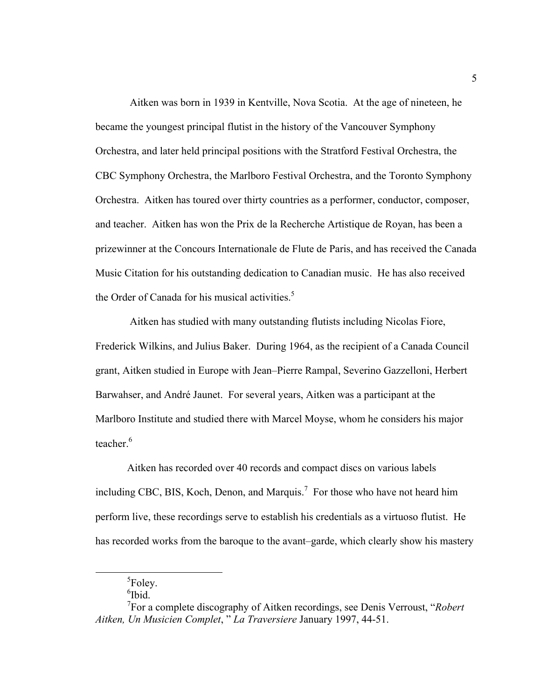Aitken was born in 1939 in Kentville, Nova Scotia. At the age of nineteen, he became the youngest principal flutist in the history of the Vancouver Symphony Orchestra, and later held principal positions with the Stratford Festival Orchestra, the CBC Symphony Orchestra, the Marlboro Festival Orchestra, and the Toronto Symphony Orchestra. Aitken has toured over thirty countries as a performer, conductor, composer, and teacher. Aitken has won the Prix de la Recherche Artistique de Royan, has been a prizewinner at the Concours Internationale de Flute de Paris, and has received the Canada Music Citation for his outstanding dedication to Canadian music. He has also received the Order of Canada for his musical activities. $5$ 

 Aitken has studied with many outstanding flutists including Nicolas Fiore, Frederick Wilkins, and Julius Baker. During 1964, as the recipient of a Canada Council grant, Aitken studied in Europe with Jean–Pierre Rampal, Severino Gazzelloni, Herbert Barwahser, and André Jaunet. For several years, Aitken was a participant at the Marlboro Institute and studied there with Marcel Moyse, whom he considers his major teacher  $^6$ 

 Aitken has recorded over 40 records and compact discs on various labels including CBC, BIS, Koch, Denon, and Marquis.<sup>7</sup> For those who have not heard him perform live, these recordings serve to establish his credentials as a virtuoso flutist. He has recorded works from the baroque to the avant–garde, which clearly show his mastery

<sup>&</sup>lt;sup>5</sup>Foley.

<sup>6</sup> Ibid.

<sup>7</sup> For a complete discography of Aitken recordings, see Denis Verroust, "*Robert Aitken, Un Musicien Complet*, " *La Traversiere* January 1997, 44-51.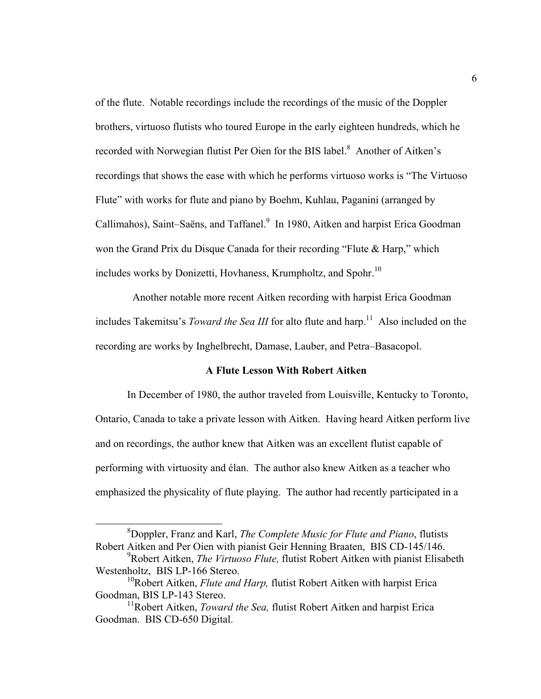of the flute. Notable recordings include the recordings of the music of the Doppler brothers, virtuoso flutists who toured Europe in the early eighteen hundreds, which he recorded with Norwegian flutist Per Oien for the BIS label.<sup>8</sup> Another of Aitken's recordings that shows the ease with which he performs virtuoso works is "The Virtuoso Flute" with works for flute and piano by Boehm, Kuhlau, Paganini (arranged by Callimahos), Saint–Saëns, and Taffanel.<sup>9</sup> In 1980, Aitken and harpist Erica Goodman won the Grand Prix du Disque Canada for their recording "Flute & Harp," which includes works by Donizetti, Hovhaness, Krumpholtz, and Spohr.<sup>10</sup>

 Another notable more recent Aitken recording with harpist Erica Goodman includes Takemitsu's *Toward the Sea III* for alto flute and harp.<sup>11</sup> Also included on the recording are works by Inghelbrecht, Damase, Lauber, and Petra–Basacopol.

### **A Flute Lesson With Robert Aitken**

In December of 1980, the author traveled from Louisville, Kentucky to Toronto, Ontario, Canada to take a private lesson with Aitken. Having heard Aitken perform live and on recordings, the author knew that Aitken was an excellent flutist capable of performing with virtuosity and élan. The author also knew Aitken as a teacher who emphasized the physicality of flute playing. The author had recently participated in a

<sup>8</sup> Doppler, Franz and Karl, *The Complete Music for Flute and Piano*, flutists Robert Aitken and Per Oien with pianist Geir Henning Braaten, BIS CD-145/146.

<sup>9</sup> Robert Aitken, *The Virtuoso Flute,* flutist Robert Aitken with pianist Elisabeth Westenholtz, BIS LP-166 Stereo.

<sup>&</sup>lt;sup>10</sup>Robert Aitken, *Flute and Harp*, flutist Robert Aitken with harpist Erica Goodman, BIS LP-143 Stereo.

<sup>&</sup>lt;sup>11</sup>Robert Aitken, *Toward the Sea*, flutist Robert Aitken and harpist Erica Goodman. BIS CD-650 Digital.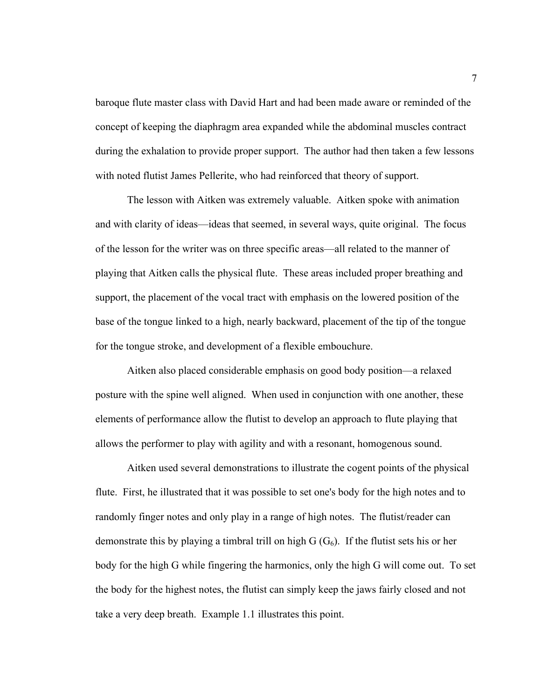baroque flute master class with David Hart and had been made aware or reminded of the concept of keeping the diaphragm area expanded while the abdominal muscles contract during the exhalation to provide proper support. The author had then taken a few lessons with noted flutist James Pellerite, who had reinforced that theory of support.

The lesson with Aitken was extremely valuable. Aitken spoke with animation and with clarity of ideas—ideas that seemed, in several ways, quite original. The focus of the lesson for the writer was on three specific areas—all related to the manner of playing that Aitken calls the physical flute. These areas included proper breathing and support, the placement of the vocal tract with emphasis on the lowered position of the base of the tongue linked to a high, nearly backward, placement of the tip of the tongue for the tongue stroke, and development of a flexible embouchure.

Aitken also placed considerable emphasis on good body position—a relaxed posture with the spine well aligned. When used in conjunction with one another, these elements of performance allow the flutist to develop an approach to flute playing that allows the performer to play with agility and with a resonant, homogenous sound.

Aitken used several demonstrations to illustrate the cogent points of the physical flute. First, he illustrated that it was possible to set one's body for the high notes and to randomly finger notes and only play in a range of high notes. The flutist/reader can demonstrate this by playing a timbral trill on high  $G(G_6)$ . If the flutist sets his or her body for the high G while fingering the harmonics, only the high G will come out. To set the body for the highest notes, the flutist can simply keep the jaws fairly closed and not take a very deep breath. Example 1.1 illustrates this point.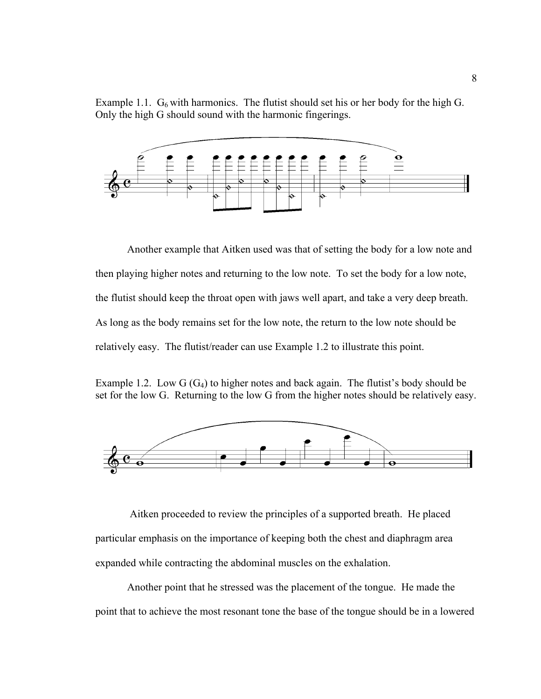Example 1.1.  $G_6$  with harmonics. The flutist should set his or her body for the high G. Only the high G should sound with the harmonic fingerings.



 Another example that Aitken used was that of setting the body for a low note and then playing higher notes and returning to the low note. To set the body for a low note, the flutist should keep the throat open with jaws well apart, and take a very deep breath. As long as the body remains set for the low note, the return to the low note should be relatively easy. The flutist/reader can use Example 1.2 to illustrate this point.

Example 1.2. Low  $G(G_4)$  to higher notes and back again. The flutist's body should be set for the low G. Returning to the low G from the higher notes should be relatively easy.



 Aitken proceeded to review the principles of a supported breath. He placed particular emphasis on the importance of keeping both the chest and diaphragm area expanded while contracting the abdominal muscles on the exhalation.

Another point that he stressed was the placement of the tongue. He made the point that to achieve the most resonant tone the base of the tongue should be in a lowered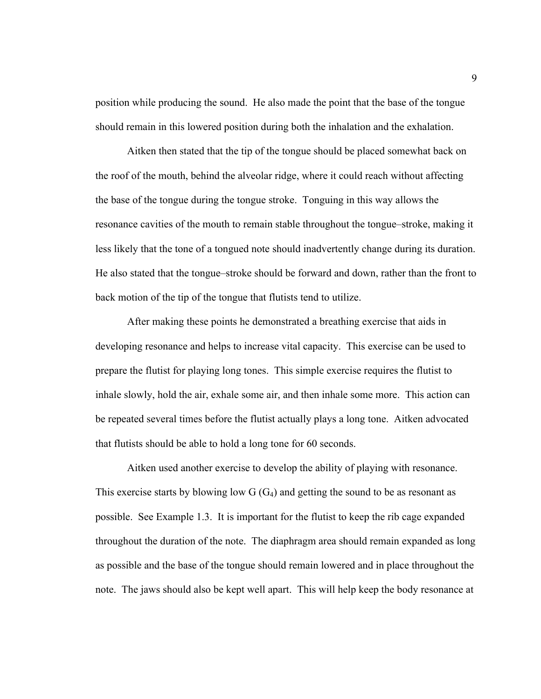position while producing the sound. He also made the point that the base of the tongue should remain in this lowered position during both the inhalation and the exhalation.

Aitken then stated that the tip of the tongue should be placed somewhat back on the roof of the mouth, behind the alveolar ridge, where it could reach without affecting the base of the tongue during the tongue stroke. Tonguing in this way allows the resonance cavities of the mouth to remain stable throughout the tongue–stroke, making it less likely that the tone of a tongued note should inadvertently change during its duration. He also stated that the tongue–stroke should be forward and down, rather than the front to back motion of the tip of the tongue that flutists tend to utilize.

 After making these points he demonstrated a breathing exercise that aids in developing resonance and helps to increase vital capacity. This exercise can be used to prepare the flutist for playing long tones. This simple exercise requires the flutist to inhale slowly, hold the air, exhale some air, and then inhale some more. This action can be repeated several times before the flutist actually plays a long tone. Aitken advocated that flutists should be able to hold a long tone for 60 seconds.

 Aitken used another exercise to develop the ability of playing with resonance. This exercise starts by blowing low  $G(G_4)$  and getting the sound to be as resonant as possible. See Example 1.3. It is important for the flutist to keep the rib cage expanded throughout the duration of the note. The diaphragm area should remain expanded as long as possible and the base of the tongue should remain lowered and in place throughout the note. The jaws should also be kept well apart. This will help keep the body resonance at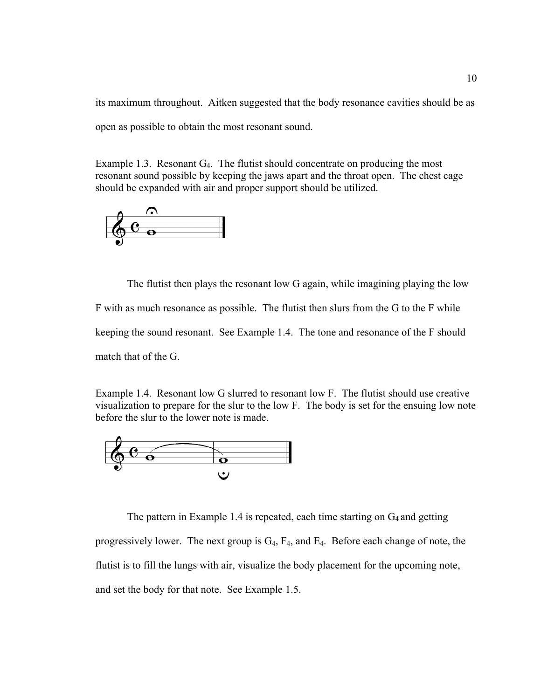its maximum throughout. Aitken suggested that the body resonance cavities should be as open as possible to obtain the most resonant sound.

Example 1.3. Resonant  $G_4$ . The flutist should concentrate on producing the most resonant sound possible by keeping the jaws apart and the throat open. The chest cage should be expanded with air and proper support should be utilized.



The flutist then plays the resonant low G again, while imagining playing the low F with as much resonance as possible. The flutist then slurs from the G to the F while keeping the sound resonant. See Example 1.4. The tone and resonance of the F should match that of the G.

Example 1.4. Resonant low G slurred to resonant low F. The flutist should use creative visualization to prepare for the slur to the low F. The body is set for the ensuing low note before the slur to the lower note is made.



The pattern in Example 1.4 is repeated, each time starting on  $G_4$  and getting progressively lower. The next group is  $G_4$ ,  $F_4$ , and  $E_4$ . Before each change of note, the flutist is to fill the lungs with air, visualize the body placement for the upcoming note, and set the body for that note. See Example 1.5.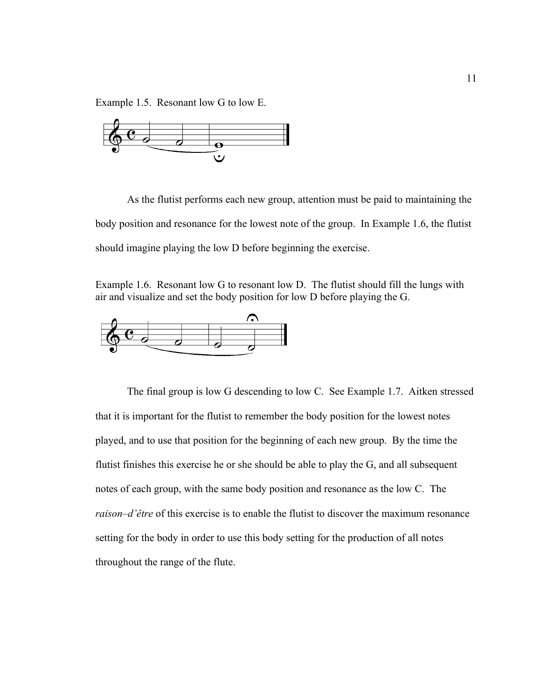Example 1.5. Resonant low G to low E.



 As the flutist performs each new group, attention must be paid to maintaining the body position and resonance for the lowest note of the group. In Example 1.6, the flutist should imagine playing the low D before beginning the exercise.

Example 1.6. Resonant low G to resonant low D. The flutist should fill the lungs with air and visualize and set the body position for low D before playing the G.



The final group is low G descending to low C. See Example 1.7. Aitken stressed that it is important for the flutist to remember the body position for the lowest notes played, and to use that position for the beginning of each new group. By the time the flutist finishes this exercise he or she should be able to play the G, and all subsequent notes of each group, with the same body position and resonance as the low C. The *raison–d'être* of this exercise is to enable the flutist to discover the maximum resonance setting for the body in order to use this body setting for the production of all notes throughout the range of the flute.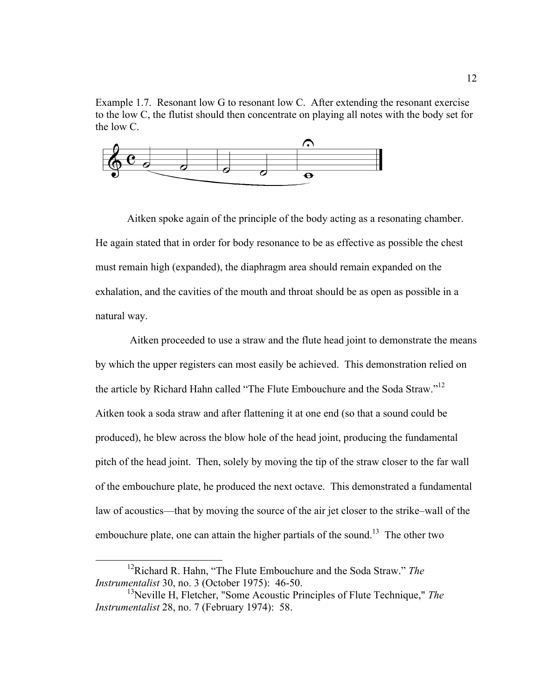Example 1.7. Resonant low G to resonant low C. After extending the resonant exercise to the low C, the flutist should then concentrate on playing all notes with the body set for the low C.



Aitken spoke again of the principle of the body acting as a resonating chamber. He again stated that in order for body resonance to be as effective as possible the chest must remain high (expanded), the diaphragm area should remain expanded on the exhalation, and the cavities of the mouth and throat should be as open as possible in a natural way.

 Aitken proceeded to use a straw and the flute head joint to demonstrate the means by which the upper registers can most easily be achieved. This demonstration relied on the article by Richard Hahn called "The Flute Embouchure and the Soda Straw."<sup>12</sup> Aitken took a soda straw and after flattening it at one end (so that a sound could be produced), he blew across the blow hole of the head joint, producing the fundamental pitch of the head joint. Then, solely by moving the tip of the straw closer to the far wall of the embouchure plate, he produced the next octave. This demonstrated a fundamental law of acoustics—that by moving the source of the air jet closer to the strike–wall of the embouchure plate, one can attain the higher partials of the sound.<sup>13</sup> The other two

<sup>12</sup>Richard R. Hahn, "The Flute Embouchure and the Soda Straw." *The Instrumentalist* 30, no. 3 (October 1975): 46-50.

<sup>13</sup>Neville H, Fletcher, "Some Acoustic Principles of Flute Technique," *The Instrumentalist* 28, no. 7 (February 1974): 58.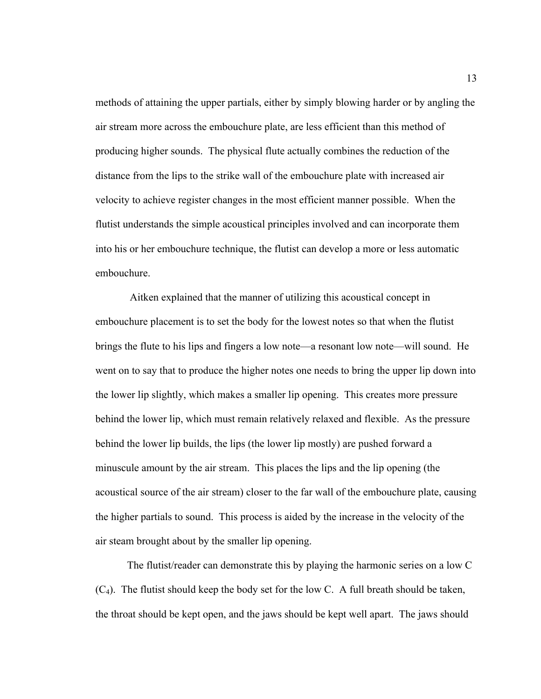methods of attaining the upper partials, either by simply blowing harder or by angling the air stream more across the embouchure plate, are less efficient than this method of producing higher sounds. The physical flute actually combines the reduction of the distance from the lips to the strike wall of the embouchure plate with increased air velocity to achieve register changes in the most efficient manner possible. When the flutist understands the simple acoustical principles involved and can incorporate them into his or her embouchure technique, the flutist can develop a more or less automatic embouchure.

 Aitken explained that the manner of utilizing this acoustical concept in embouchure placement is to set the body for the lowest notes so that when the flutist brings the flute to his lips and fingers a low note—a resonant low note—will sound. He went on to say that to produce the higher notes one needs to bring the upper lip down into the lower lip slightly, which makes a smaller lip opening. This creates more pressure behind the lower lip, which must remain relatively relaxed and flexible. As the pressure behind the lower lip builds, the lips (the lower lip mostly) are pushed forward a minuscule amount by the air stream. This places the lips and the lip opening (the acoustical source of the air stream) closer to the far wall of the embouchure plate, causing the higher partials to sound. This process is aided by the increase in the velocity of the air steam brought about by the smaller lip opening.

 The flutist/reader can demonstrate this by playing the harmonic series on a low C  $(C_4)$ . The flutist should keep the body set for the low C. A full breath should be taken, the throat should be kept open, and the jaws should be kept well apart. The jaws should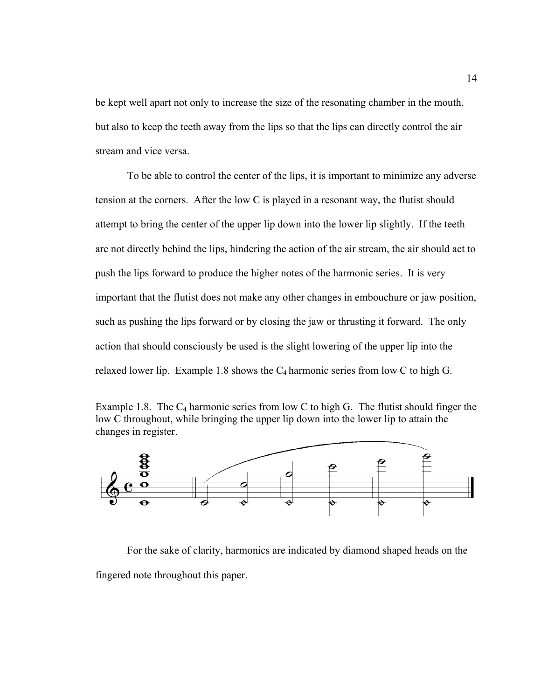be kept well apart not only to increase the size of the resonating chamber in the mouth, but also to keep the teeth away from the lips so that the lips can directly control the air stream and vice versa.

To be able to control the center of the lips, it is important to minimize any adverse tension at the corners. After the low C is played in a resonant way, the flutist should attempt to bring the center of the upper lip down into the lower lip slightly. If the teeth are not directly behind the lips, hindering the action of the air stream, the air should act to push the lips forward to produce the higher notes of the harmonic series. It is very important that the flutist does not make any other changes in embouchure or jaw position, such as pushing the lips forward or by closing the jaw or thrusting it forward. The only action that should consciously be used is the slight lowering of the upper lip into the relaxed lower lip. Example 1.8 shows the  $C_4$  harmonic series from low C to high G.





For the sake of clarity, harmonics are indicated by diamond shaped heads on the fingered note throughout this paper.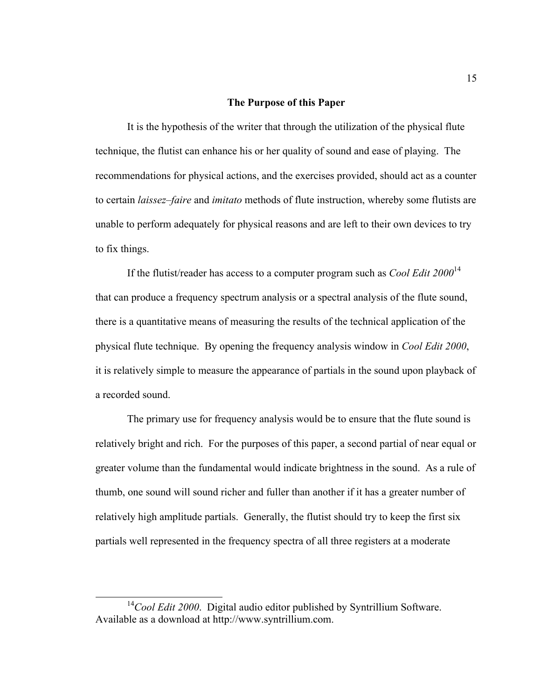#### **The Purpose of this Paper**

It is the hypothesis of the writer that through the utilization of the physical flute technique, the flutist can enhance his or her quality of sound and ease of playing. The recommendations for physical actions, and the exercises provided, should act as a counter to certain *laissez–faire* and *imitato* methods of flute instruction, whereby some flutists are unable to perform adequately for physical reasons and are left to their own devices to try to fix things.

If the flutist/reader has access to a computer program such as *Cool Edit 2000*<sup>14</sup> that can produce a frequency spectrum analysis or a spectral analysis of the flute sound, there is a quantitative means of measuring the results of the technical application of the physical flute technique. By opening the frequency analysis window in *Cool Edit 2000*, it is relatively simple to measure the appearance of partials in the sound upon playback of a recorded sound.

The primary use for frequency analysis would be to ensure that the flute sound is relatively bright and rich. For the purposes of this paper, a second partial of near equal or greater volume than the fundamental would indicate brightness in the sound. As a rule of thumb, one sound will sound richer and fuller than another if it has a greater number of relatively high amplitude partials. Generally, the flutist should try to keep the first six partials well represented in the frequency spectra of all three registers at a moderate

<sup>&</sup>lt;sup>14</sup>Cool Edit 2000. Digital audio editor published by Syntrillium Software. Available as a download at http://www.syntrillium.com.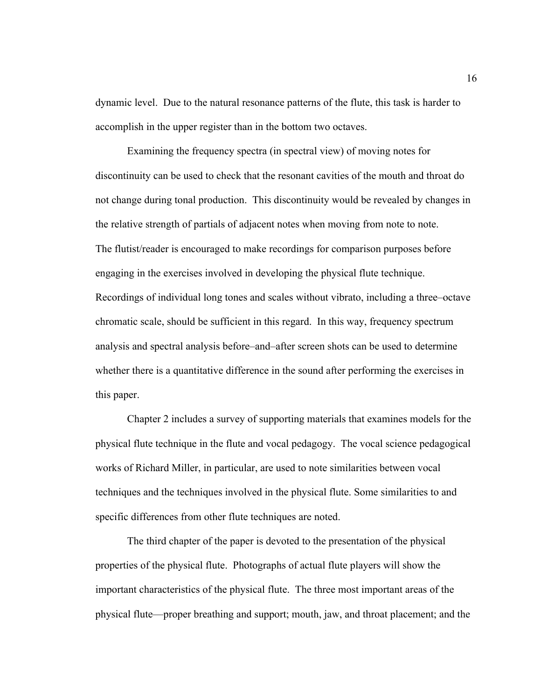dynamic level. Due to the natural resonance patterns of the flute, this task is harder to accomplish in the upper register than in the bottom two octaves.

Examining the frequency spectra (in spectral view) of moving notes for discontinuity can be used to check that the resonant cavities of the mouth and throat do not change during tonal production. This discontinuity would be revealed by changes in the relative strength of partials of adjacent notes when moving from note to note. The flutist/reader is encouraged to make recordings for comparison purposes before engaging in the exercises involved in developing the physical flute technique. Recordings of individual long tones and scales without vibrato, including a three–octave chromatic scale, should be sufficient in this regard. In this way, frequency spectrum analysis and spectral analysis before–and–after screen shots can be used to determine whether there is a quantitative difference in the sound after performing the exercises in this paper.

 Chapter 2 includes a survey of supporting materials that examines models for the physical flute technique in the flute and vocal pedagogy. The vocal science pedagogical works of Richard Miller, in particular, are used to note similarities between vocal techniques and the techniques involved in the physical flute. Some similarities to and specific differences from other flute techniques are noted.

The third chapter of the paper is devoted to the presentation of the physical properties of the physical flute. Photographs of actual flute players will show the important characteristics of the physical flute. The three most important areas of the physical flute—proper breathing and support; mouth, jaw, and throat placement; and the